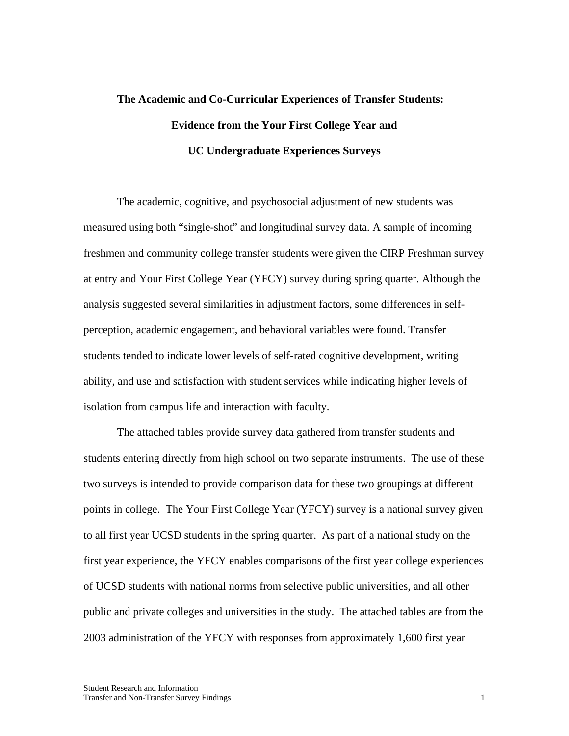# **The Academic and Co-Curricular Experiences of Transfer Students: Evidence from the Your First College Year and UC Undergraduate Experiences Surveys**

The academic, cognitive, and psychosocial adjustment of new students was measured using both "single-shot" and longitudinal survey data. A sample of incoming freshmen and community college transfer students were given the CIRP Freshman survey at entry and Your First College Year (YFCY) survey during spring quarter. Although the analysis suggested several similarities in adjustment factors, some differences in selfperception, academic engagement, and behavioral variables were found. Transfer students tended to indicate lower levels of self-rated cognitive development, writing ability, and use and satisfaction with student services while indicating higher levels of isolation from campus life and interaction with faculty.

The attached tables provide survey data gathered from transfer students and students entering directly from high school on two separate instruments. The use of these two surveys is intended to provide comparison data for these two groupings at different points in college. The Your First College Year (YFCY) survey is a national survey given to all first year UCSD students in the spring quarter. As part of a national study on the first year experience, the YFCY enables comparisons of the first year college experiences of UCSD students with national norms from selective public universities, and all other public and private colleges and universities in the study. The attached tables are from the 2003 administration of the YFCY with responses from approximately 1,600 first year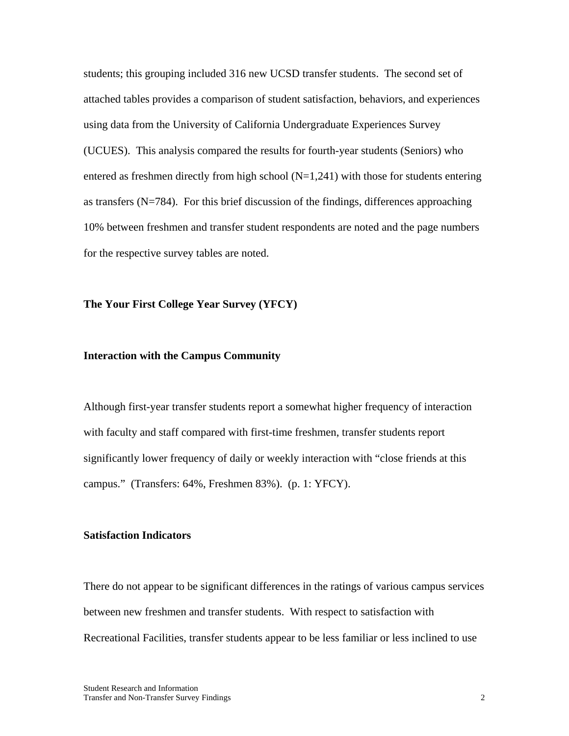students; this grouping included 316 new UCSD transfer students. The second set of attached tables provides a comparison of student satisfaction, behaviors, and experiences using data from the University of California Undergraduate Experiences Survey (UCUES). This analysis compared the results for fourth-year students (Seniors) who entered as freshmen directly from high school  $(N=1,241)$  with those for students entering as transfers  $(N=784)$ . For this brief discussion of the findings, differences approaching 10% between freshmen and transfer student respondents are noted and the page numbers for the respective survey tables are noted.

**The Your First College Year Survey (YFCY)** 

### **Interaction with the Campus Community**

Although first-year transfer students report a somewhat higher frequency of interaction with faculty and staff compared with first-time freshmen, transfer students report significantly lower frequency of daily or weekly interaction with "close friends at this campus." (Transfers: 64%, Freshmen 83%). (p. 1: YFCY).

## **Satisfaction Indicators**

There do not appear to be significant differences in the ratings of various campus services between new freshmen and transfer students. With respect to satisfaction with Recreational Facilities, transfer students appear to be less familiar or less inclined to use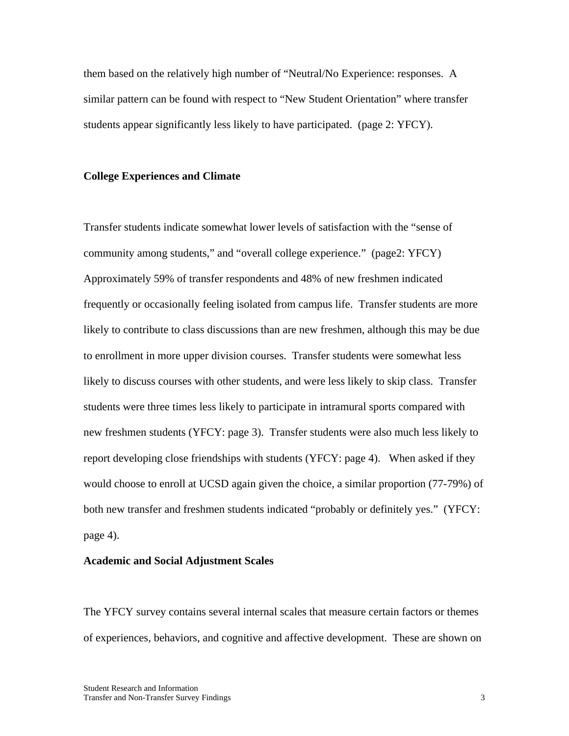them based on the relatively high number of "Neutral/No Experience: responses. A similar pattern can be found with respect to "New Student Orientation" where transfer students appear significantly less likely to have participated. (page 2: YFCY).

## **College Experiences and Climate**

Transfer students indicate somewhat lower levels of satisfaction with the "sense of community among students," and "overall college experience." (page2: YFCY) Approximately 59% of transfer respondents and 48% of new freshmen indicated frequently or occasionally feeling isolated from campus life. Transfer students are more likely to contribute to class discussions than are new freshmen, although this may be due to enrollment in more upper division courses. Transfer students were somewhat less likely to discuss courses with other students, and were less likely to skip class. Transfer students were three times less likely to participate in intramural sports compared with new freshmen students (YFCY: page 3). Transfer students were also much less likely to report developing close friendships with students (YFCY: page 4). When asked if they would choose to enroll at UCSD again given the choice, a similar proportion (77-79%) of both new transfer and freshmen students indicated "probably or definitely yes." (YFCY: page 4).

## **Academic and Social Adjustment Scales**

The YFCY survey contains several internal scales that measure certain factors or themes of experiences, behaviors, and cognitive and affective development. These are shown on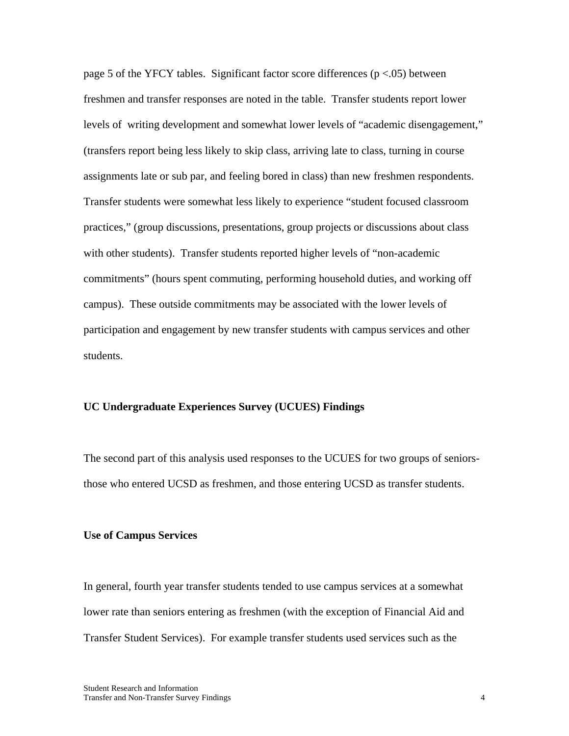page 5 of the YFCY tables. Significant factor score differences ( $p < .05$ ) between freshmen and transfer responses are noted in the table. Transfer students report lower levels of writing development and somewhat lower levels of "academic disengagement," (transfers report being less likely to skip class, arriving late to class, turning in course assignments late or sub par, and feeling bored in class) than new freshmen respondents. Transfer students were somewhat less likely to experience "student focused classroom practices," (group discussions, presentations, group projects or discussions about class with other students). Transfer students reported higher levels of "non-academic commitments" (hours spent commuting, performing household duties, and working off campus). These outside commitments may be associated with the lower levels of participation and engagement by new transfer students with campus services and other students.

# **UC Undergraduate Experiences Survey (UCUES) Findings**

The second part of this analysis used responses to the UCUES for two groups of seniorsthose who entered UCSD as freshmen, and those entering UCSD as transfer students.

#### **Use of Campus Services**

In general, fourth year transfer students tended to use campus services at a somewhat lower rate than seniors entering as freshmen (with the exception of Financial Aid and Transfer Student Services). For example transfer students used services such as the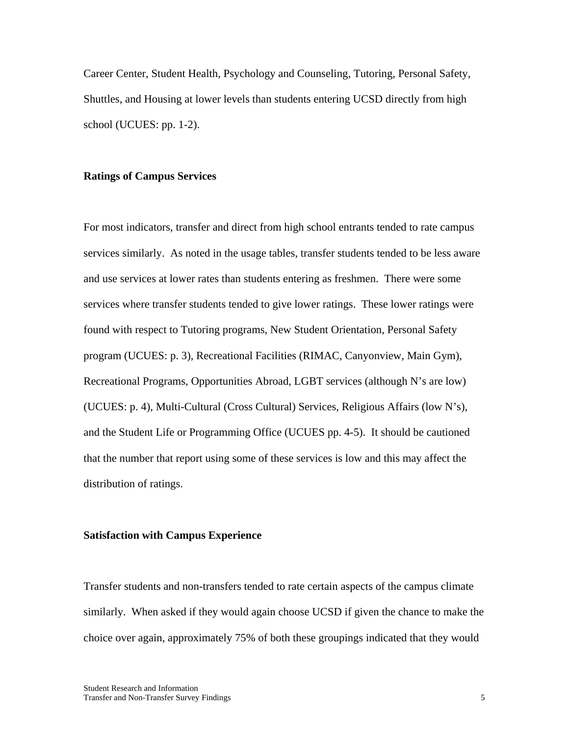Career Center, Student Health, Psychology and Counseling, Tutoring, Personal Safety, Shuttles, and Housing at lower levels than students entering UCSD directly from high school (UCUES: pp. 1-2).

## **Ratings of Campus Services**

For most indicators, transfer and direct from high school entrants tended to rate campus services similarly. As noted in the usage tables, transfer students tended to be less aware and use services at lower rates than students entering as freshmen. There were some services where transfer students tended to give lower ratings. These lower ratings were found with respect to Tutoring programs, New Student Orientation, Personal Safety program (UCUES: p. 3), Recreational Facilities (RIMAC, Canyonview, Main Gym), Recreational Programs, Opportunities Abroad, LGBT services (although N's are low) (UCUES: p. 4), Multi-Cultural (Cross Cultural) Services, Religious Affairs (low N's), and the Student Life or Programming Office (UCUES pp. 4-5). It should be cautioned that the number that report using some of these services is low and this may affect the distribution of ratings.

#### **Satisfaction with Campus Experience**

Transfer students and non-transfers tended to rate certain aspects of the campus climate similarly. When asked if they would again choose UCSD if given the chance to make the choice over again, approximately 75% of both these groupings indicated that they would